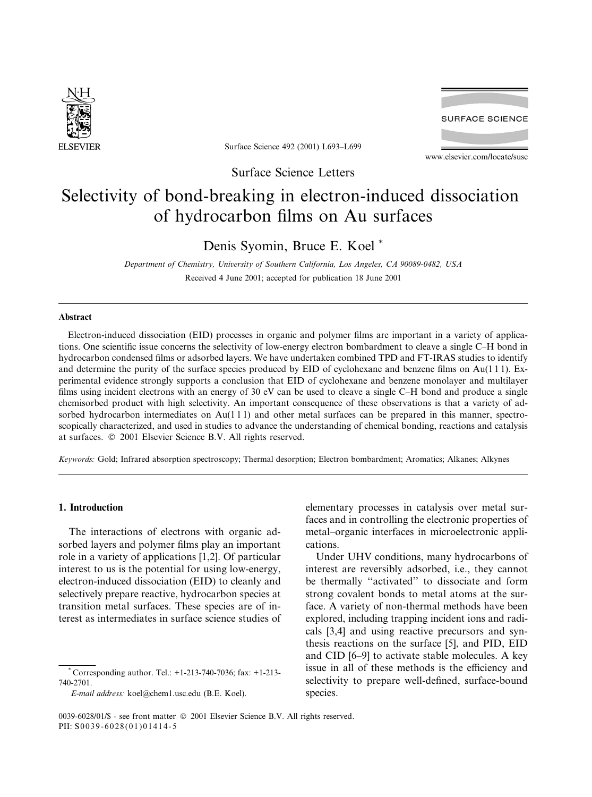

Surface Science 492 (2001) L693-L699

**SURFACE SCIENCE** 

www.elsevier.com/locate/susc

Surface Science Letters

# Selectivity of bond-breaking in electron-induced dissociation of hydrocarbon films on Au surfaces

# Denis Syomin, Bruce E. Koel\*

Department of Chemistry, University of Southern California, Los Angeles, CA 90089-0482, USA Received 4 June 2001; accepted for publication 18 June 2001

# **Abstract**

Electron-induced dissociation (EID) processes in organic and polymer films are important in a variety of applications. One scientific issue concerns the selectivity of low-energy electron bombardment to cleave a single C-H bond in hydrocarbon condensed films or adsorbed layers. We have undertaken combined TPD and FT-IRAS studies to identify and determine the purity of the surface species produced by EID of cyclohexane and benzene films on  $Au(111)$ . Experimental evidence strongly supports a conclusion that EID of cyclohexane and benzene monolayer and multilayer films using incident electrons with an energy of 30 eV can be used to cleave a single C-H bond and produce a single chemisorbed product with high selectivity. An important consequence of these observations is that a variety of adsorbed hydrocarbon intermediates on  $Au(111)$  and other metal surfaces can be prepared in this manner, spectroscopically characterized, and used in studies to advance the understanding of chemical bonding, reactions and catalysis at surfaces. © 2001 Elsevier Science B.V. All rights reserved.

Keywords: Gold; Infrared absorption spectroscopy; Thermal desorption; Electron bombardment; Aromatics; Alkanes; Alkynes

# 1. Introduction

The interactions of electrons with organic adsorbed layers and polymer films play an important role in a variety of applications [1,2]. Of particular interest to us is the potential for using low-energy, electron-induced dissociation (EID) to cleanly and selectively prepare reactive, hydrocarbon species at transition metal surfaces. These species are of interest as intermediates in surface science studies of

\* Corresponding author. Tel.:  $+1-213-740-7036$ ; fax:  $+1-213-$ 740-2701.

E-mail address: koel@chem1.usc.edu (B.E. Koel).

elementary processes in catalysis over metal surfaces and in controlling the electronic properties of metal-organic interfaces in microelectronic applications.

Under UHV conditions, many hydrocarbons of interest are reversibly adsorbed, i.e., they cannot be thermally "activated" to dissociate and form strong covalent bonds to metal atoms at the surface. A variety of non-thermal methods have been explored, including trapping incident ions and radicals [3,4] and using reactive precursors and synthesis reactions on the surface [5], and PID, EID and CID [6–9] to activate stable molecules. A key issue in all of these methods is the efficiency and selectivity to prepare well-defined, surface-bound species.

<sup>0039-6028/01/\$ -</sup> see front matter © 2001 Elsevier Science B.V. All rights reserved. PII: S0039-6028(01)01414-5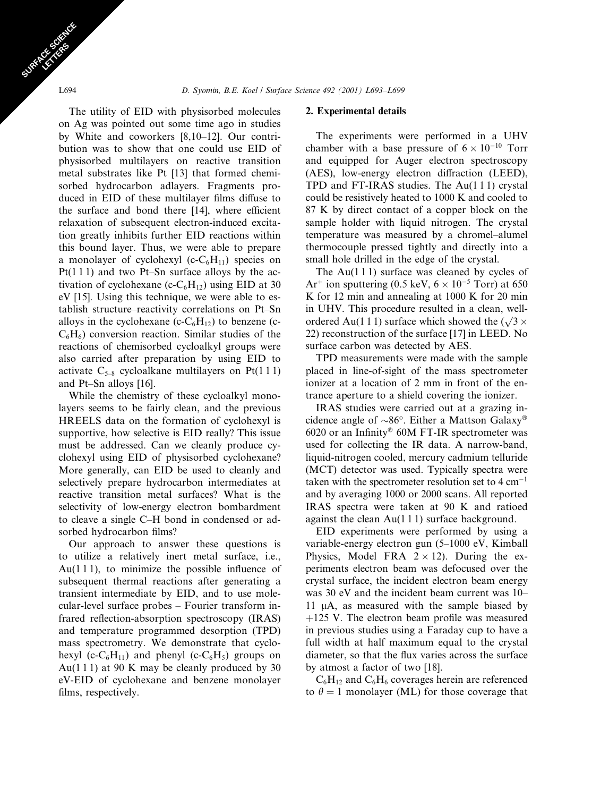The utility of EID with physisorbed molecules on Ag was pointed out some time ago in studies by White and coworkers [8,10-12]. Our contribution was to show that one could use EID of physisorbed multilayers on reactive transition metal substrates like Pt [13] that formed chemisorbed hydrocarbon adlayers. Fragments produced in EID of these multilayer films diffuse to the surface and bond there [14], where efficient relaxation of subsequent electron-induced excitation greatly inhibits further EID reactions within this bound layer. Thus, we were able to prepare a monolayer of cyclohexyl (c- $C_6H_{11}$ ) species on  $Pt(111)$  and two Pt-Sn surface alloys by the activation of cyclohexane (c- $C_6H_{12}$ ) using EID at 30 eV [15]. Using this technique, we were able to establish structure–reactivity correlations on Pt–Sn alloys in the cyclohexane (c- $C_6H_{12}$ ) to benzene (c- $C_6H_6$ ) conversion reaction. Similar studies of the reactions of chemisorbed cycloalkyl groups were also carried after preparation by using EID to activate  $C_{5-8}$  cycloalkane multilayers on Pt(111) and Pt-Sn alloys [16].

While the chemistry of these cycloalkyl monolayers seems to be fairly clean, and the previous HREELS data on the formation of cyclohexyl is supportive, how selective is EID really? This issue must be addressed. Can we cleanly produce cyclohexyl using EID of physisorbed cyclohexane? More generally, can EID be used to cleanly and selectively prepare hydrocarbon intermediates at reactive transition metal surfaces? What is the selectivity of low-energy electron bombardment to cleave a single C–H bond in condensed or adsorbed hydrocarbon films?

Our approach to answer these questions is to utilize a relatively inert metal surface, i.e.,  $Au(111)$ , to minimize the possible influence of subsequent thermal reactions after generating a transient intermediate by EID, and to use molecular-level surface probes - Fourier transform infrared reflection-absorption spectroscopy (IRAS) and temperature programmed desorption (TPD) mass spectrometry. We demonstrate that cyclohexyl (c- $C_6H_{11}$ ) and phenyl (c- $C_6H_5$ ) groups on Au(111) at 90 K may be cleanly produced by 30 eV-EID of cyclohexane and benzene monolayer films, respectively.

## 2. Experimental details

The experiments were performed in a UHV chamber with a base pressure of  $6 \times 10^{-10}$  Torr and equipped for Auger electron spectroscopy (AES), low-energy electron diffraction (LEED), TPD and FT-IRAS studies. The Au(111) crystal could be resistively heated to 1000 K and cooled to 87 K by direct contact of a copper block on the sample holder with liquid nitrogen. The crystal temperature was measured by a chromel-alumel thermocouple pressed tightly and directly into a small hole drilled in the edge of the crystal.

The Au $(111)$  surface was cleaned by cycles of Ar<sup>+</sup> ion sputtering (0.5 keV,  $6 \times 10^{-5}$  Torr) at 650 K for 12 min and annealing at 1000 K for 20 min in UHV. This procedure resulted in a clean, wellordered Au(111) surface which showed the  $(\sqrt{3} \times$ 22) reconstruction of the surface [17] in LEED. No surface carbon was detected by AES.

TPD measurements were made with the sample placed in line-of-sight of the mass spectrometer ionizer at a location of 2 mm in front of the entrance aperture to a shield covering the ionizer.

IRAS studies were carried out at a grazing incidence angle of  $\sim 86^\circ$ . Either a Mattson Galaxy<sup>®</sup>  $6020$  or an Infinity<sup>®</sup> 60M FT-IR spectrometer was used for collecting the IR data. A narrow-band, liquid-nitrogen cooled, mercury cadmium telluride (MCT) detector was used. Typically spectra were taken with the spectrometer resolution set to  $4 \text{ cm}^{-1}$ and by averaging 1000 or 2000 scans. All reported IRAS spectra were taken at 90 K and ratioed against the clean  $Au(111)$  surface background.

EID experiments were performed by using a variable-energy electron gun (5-1000 eV, Kimball Physics, Model FRA  $2 \times 12$ ). During the experiments electron beam was defocused over the crystal surface, the incident electron beam energy was 30 eV and the incident beam current was 10-11  $\mu$ A, as measured with the sample biased by  $+125$  V. The electron beam profile was measured in previous studies using a Faraday cup to have a full width at half maximum equal to the crystal diameter, so that the flux varies across the surface by atmost a factor of two [18].

 $C_6H_{12}$  and  $C_6H_6$  coverages herein are referenced to  $\theta = 1$  monolayer (ML) for those coverage that

L694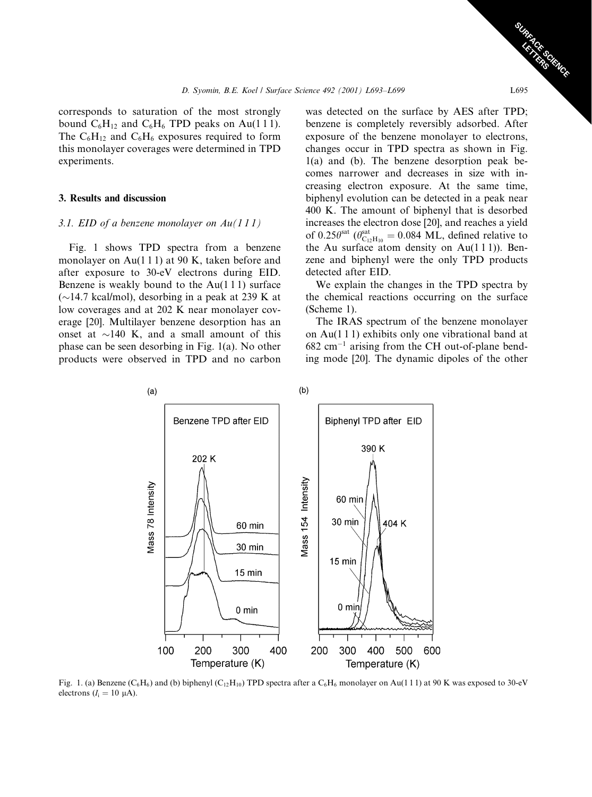corresponds to saturation of the most strongly bound  $C_6H_{12}$  and  $C_6H_6$  TPD peaks on Au(111). The  $C_6H_{12}$  and  $C_6H_6$  exposures required to form this monolayer coverages were determined in TPD experiments.

#### 3. Results and discussion

#### 3.1. EID of a benzene monolayer on  $Au(111)$

Fig. 1 shows TPD spectra from a benzene monolayer on Au $(1\ 1\ 1)$  at 90 K, taken before and after exposure to 30-eV electrons during EID. Benzene is weakly bound to the  $Au(111)$  surface  $(\sim]$ 14.7 kcal/mol), desorbing in a peak at 239 K at low coverages and at 202 K near monolayer coverage [20]. Multilayer benzene desorption has an onset at  $\sim$ 140 K, and a small amount of this phase can be seen desorbing in Fig. 1(a). No other products were observed in TPD and no carbon

was detected on the surface by AES after TPD; benzene is completely reversibly adsorbed. After exposure of the benzene monolayer to electrons, changes occur in TPD spectra as shown in Fig.  $1(a)$  and (b). The benzene desorption peak becomes narrower and decreases in size with increasing electron exposure. At the same time, biphenyl evolution can be detected in a peak near 400 K. The amount of biphenyl that is desorbed increases the electron dose [20], and reaches a yield of 0.25 $\theta^{\text{sat}}$  ( $\theta_{\text{C}_{12}\text{H}_{10}}^{\text{sat}}$  = 0.084 ML, defined relative to the Au surface atom density on  $Au(111)$ ). Benzene and biphenyl were the only TPD products detected after EID.

We explain the changes in the TPD spectra by the chemical reactions occurring on the surface (Scheme 1).

The IRAS spectrum of the benzene monolayer on Au(111) exhibits only one vibrational band at  $682 \text{ cm}^{-1}$  arising from the CH out-of-plane bending mode [20]. The dynamic dipoles of the other



Fig. 1. (a) Benzene (C<sub>6</sub>H<sub>6</sub>) and (b) biphenyl (C<sub>12</sub>H<sub>10</sub>) TPD spectra after a C<sub>6</sub>H<sub>6</sub> monolayer on Au(111) at 90 K was exposed to 30-eV electrons  $(I_i = 10 \mu A)$ .

L695

**CARGORY**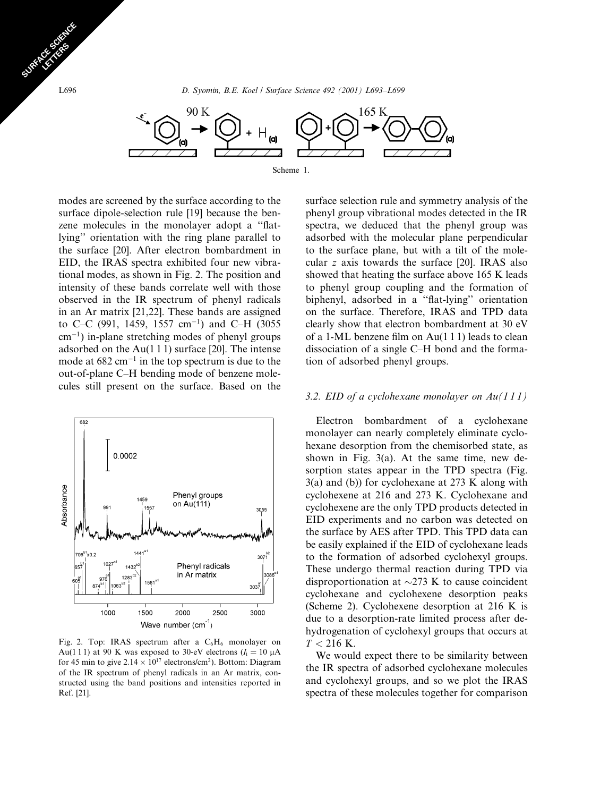

modes are screened by the surface according to the surface dipole-selection rule [19] because the benzene molecules in the monolayer adopt a "flatlying" orientation with the ring plane parallel to the surface [20]. After electron bombardment in EID, the IRAS spectra exhibited four new vibrational modes, as shown in Fig. 2. The position and intensity of these bands correlate well with those observed in the IR spectrum of phenyl radicals in an Ar matrix  $[21,22]$ . These bands are assigned to C-C (991, 1459, 1557 cm<sup>-1</sup>) and C-H (3055  $cm^{-1}$ ) in-plane stretching modes of phenyl groups adsorbed on the  $Au(111)$  surface [20]. The intense mode at  $682 \text{ cm}^{-1}$  in the top spectrum is due to the out-of-plane C-H bending mode of benzene molecules still present on the surface. Based on the



Fig. 2. Top: IRAS spectrum after a  $C_6H_6$  monolayer on Au(111) at 90 K was exposed to 30-eV electrons ( $I_i = 10 \mu A$ for 45 min to give  $2.14 \times 10^{17}$  electrons/cm<sup>2</sup>). Bottom: Diagram of the IR spectrum of phenyl radicals in an Ar matrix, constructed using the band positions and intensities reported in Ref. [21].

surface selection rule and symmetry analysis of the phenyl group vibrational modes detected in the IR spectra, we deduced that the phenyl group was adsorbed with the molecular plane perpendicular to the surface plane, but with a tilt of the molecular z axis towards the surface [20]. IRAS also showed that heating the surface above 165 K leads to phenyl group coupling and the formation of biphenyl, adsorbed in a "flat-lying" orientation on the surface. Therefore, IRAS and TPD data clearly show that electron bombardment at 30 eV of a 1-ML benzene film on Au(1 1 1) leads to clean dissociation of a single C–H bond and the formation of adsorbed phenyl groups.

### 3.2. EID of a cyclohexane monolayer on  $Au(111)$

Electron bombardment of a cyclohexane monolayer can nearly completely eliminate cyclohexane desorption from the chemisorbed state, as shown in Fig.  $3(a)$ . At the same time, new desorption states appear in the TPD spectra (Fig.  $3(a)$  and (b)) for cyclohexane at 273 K along with cyclohexene at 216 and 273 K. Cyclohexane and cyclohexene are the only TPD products detected in EID experiments and no carbon was detected on the surface by AES after TPD. This TPD data can be easily explained if the EID of cyclohexane leads to the formation of adsorbed cyclohexyl groups. These undergo thermal reaction during TPD via disproportionation at  $\sim$ 273 K to cause coincident cyclohexane and cyclohexene desorption peaks (Scheme 2). Cyclohexene desorption at 216 K is due to a desorption-rate limited process after dehydrogenation of cyclohexyl groups that occurs at  $T < 216$  K.

We would expect there to be similarity between the IR spectra of adsorbed cyclohexane molecules and cyclohexyl groups, and so we plot the IRAS spectra of these molecules together for comparison

L696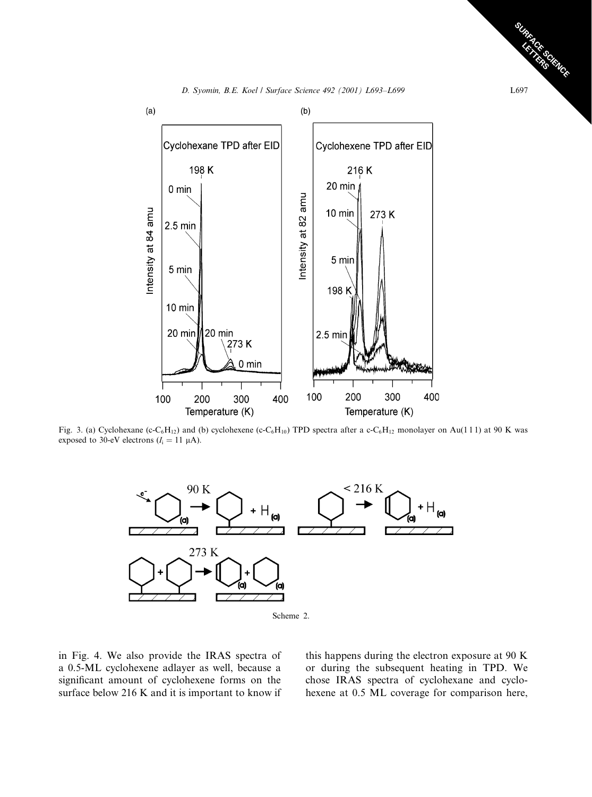D. Syomin, B.E. Koel / Surface Science 492 (2001) L693-L699



Fig. 3. (a) Cyclohexane (c-C<sub>6</sub>H<sub>12</sub>) and (b) cyclohexene (c-C<sub>6</sub>H<sub>10</sub>) TPD spectra after a c-C<sub>6</sub>H<sub>12</sub> monolayer on Au(111) at 90 K was exposed to 30-eV electrons  $(I_i = 11 \mu A)$ .



Scheme 2.

in Fig. 4. We also provide the IRAS spectra of a 0.5-ML cyclohexene adlayer as well, because a significant amount of cyclohexene forms on the surface below 216 K and it is important to know if this happens during the electron exposure at 90 K or during the subsequent heating in TPD. We chose IRAS spectra of cyclohexane and cyclohexene at 0.5 ML coverage for comparison here,

**CALCORNIAGE** L697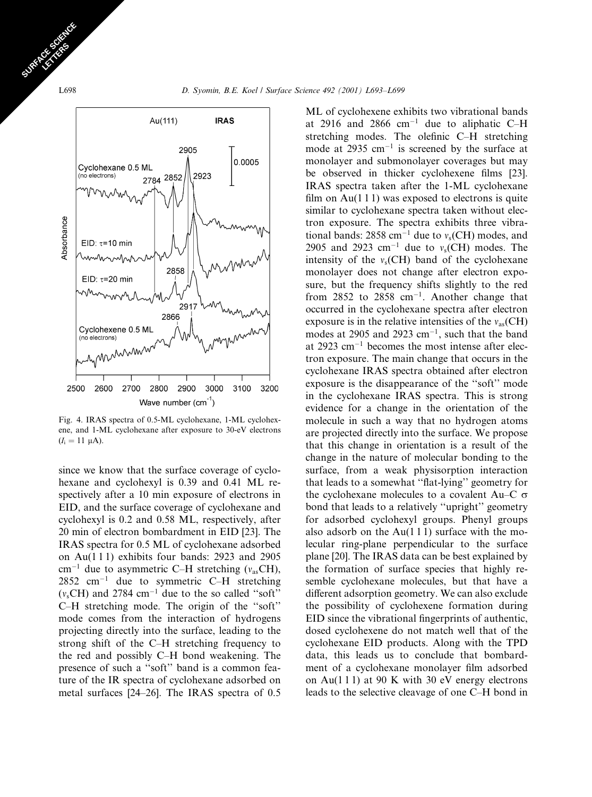

Fig. 4. IRAS spectra of 0.5-ML cyclohexane, 1-ML cyclohexene, and 1-ML cyclohexane after exposure to 30-eV electrons  $(I_i = 11 \mu A).$ 

since we know that the surface coverage of cyclohexane and cyclohexyl is 0.39 and 0.41 ML respectively after a 10 min exposure of electrons in EID, and the surface coverage of cyclohexane and cyclohexyl is 0.2 and 0.58 ML, respectively, after 20 min of electron bombardment in EID [23]. The IRAS spectra for 0.5 ML of cyclohexane adsorbed on Au(111) exhibits four bands: 2923 and 2905  $\text{cm}^{-1}$  due to asymmetric C-H stretching ( $v_{\text{as}}$ CH),  $2852$  cm<sup>-1</sup> due to symmetric C-H stretching  $(v_sCH)$  and 2784 cm<sup>-1</sup> due to the so called "soft" C-H stretching mode. The origin of the "soft" mode comes from the interaction of hydrogens projecting directly into the surface, leading to the strong shift of the C-H stretching frequency to the red and possibly C-H bond weakening. The presence of such a "soft" band is a common feature of the IR spectra of cyclohexane adsorbed on metal surfaces [24–26]. The IRAS spectra of 0.5

ML of cyclohexene exhibits two vibrational bands at 2916 and 2866  $cm^{-1}$  due to aliphatic C-H stretching modes. The olefinic C-H stretching mode at 2935 cm<sup>-1</sup> is screened by the surface at monolayer and submonolayer coverages but may be observed in thicker cyclohexene films [23]. IRAS spectra taken after the 1-ML cyclohexane film on  $Au(111)$  was exposed to electrons is quite similar to cyclohexane spectra taken without electron exposure. The spectra exhibits three vibrational bands:  $2858 \text{ cm}^{-1}$  due to  $v_s$ (CH) modes, and 2905 and 2923 cm<sup>-1</sup> due to  $v_s$ (CH) modes. The intensity of the  $v_s$ (CH) band of the cyclohexane monolayer does not change after electron exposure, but the frequency shifts slightly to the red from  $2852$  to  $2858$  cm<sup>-1</sup>. Another change that occurred in the cyclohexane spectra after electron exposure is in the relative intensities of the  $v_{as}(CH)$ modes at 2905 and 2923 cm<sup>-1</sup>, such that the band at  $2923$  cm<sup>-1</sup> becomes the most intense after electron exposure. The main change that occurs in the cyclohexane IRAS spectra obtained after electron exposure is the disappearance of the "soft" mode in the cyclohexane IRAS spectra. This is strong evidence for a change in the orientation of the molecule in such a way that no hydrogen atoms are projected directly into the surface. We propose that this change in orientation is a result of the change in the nature of molecular bonding to the surface, from a weak physisorption interaction that leads to a somewhat "flat-lying" geometry for the cyclohexane molecules to a covalent Au–C  $\sigma$ bond that leads to a relatively "upright" geometry for adsorbed cyclohexyl groups. Phenyl groups also adsorb on the  $Au(111)$  surface with the molecular ring-plane perpendicular to the surface plane [20]. The IRAS data can be best explained by the formation of surface species that highly resemble cyclohexane molecules, but that have a different adsorption geometry. We can also exclude the possibility of cyclohexene formation during EID since the vibrational fingerprints of authentic, dosed cyclohexene do not match well that of the cyclohexane EID products. Along with the TPD data, this leads us to conclude that bombardment of a cyclohexane monolayer film adsorbed on Au(111) at 90 K with 30 eV energy electrons leads to the selective cleavage of one C-H bond in